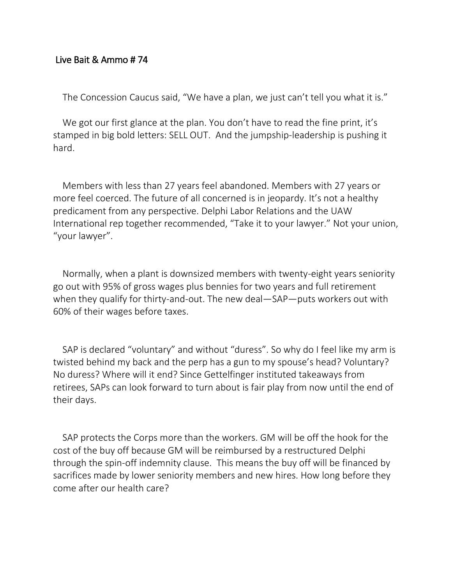## Live Bait & Ammo # 74

The Concession Caucus said, "We have a plan, we just can't tell you what it is."

We got our first glance at the plan. You don't have to read the fine print, it's stamped in big bold letters: SELL OUT. And the jumpship-leadership is pushing it hard.

Members with less than 27 years feel abandoned. Members with 27 years or more feel coerced. The future of all concerned is in jeopardy. It's not a healthy predicament from any perspective. Delphi Labor Relations and the UAW International rep together recommended, "Take it to your lawyer." Not your union, "your lawyer".

Normally, when a plant is downsized members with twenty-eight years seniority go out with 95% of gross wages plus bennies for two years and full retirement when they qualify for thirty-and-out. The new deal—SAP—puts workers out with 60% of their wages before taxes.

SAP is declared "voluntary" and without "duress". So why do I feel like my arm is twisted behind my back and the perp has a gun to my spouse's head? Voluntary? No duress? Where will it end? Since Gettelfinger instituted takeaways from retirees, SAPs can look forward to turn about is fair play from now until the end of their days.

SAP protects the Corps more than the workers. GM will be off the hook for the cost of the buy off because GM will be reimbursed by a restructured Delphi through the spin-off indemnity clause. This means the buy off will be financed by sacrifices made by lower seniority members and new hires. How long before they come after our health care?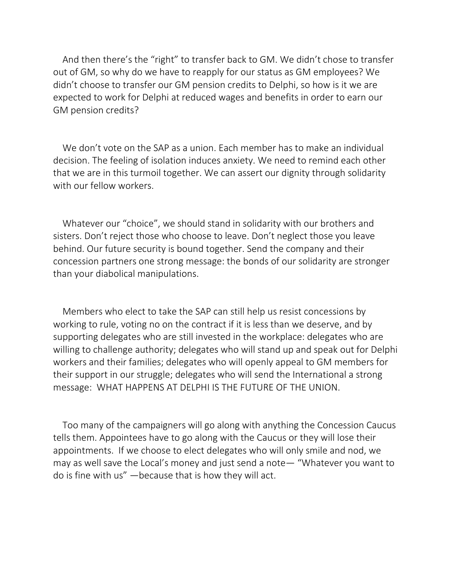And then there's the "right" to transfer back to GM. We didn't chose to transfer out of GM, so why do we have to reapply for our status as GM employees? We didn't choose to transfer our GM pension credits to Delphi, so how is it we are expected to work for Delphi at reduced wages and benefits in order to earn our GM pension credits?

We don't vote on the SAP as a union. Each member has to make an individual decision. The feeling of isolation induces anxiety. We need to remind each other that we are in this turmoil together. We can assert our dignity through solidarity with our fellow workers.

Whatever our "choice", we should stand in solidarity with our brothers and sisters. Don't reject those who choose to leave. Don't neglect those you leave behind. Our future security is bound together. Send the company and their concession partners one strong message: the bonds of our solidarity are stronger than your diabolical manipulations.

Members who elect to take the SAP can still help us resist concessions by working to rule, voting no on the contract if it is less than we deserve, and by supporting delegates who are still invested in the workplace: delegates who are willing to challenge authority; delegates who will stand up and speak out for Delphi workers and their families; delegates who will openly appeal to GM members for their support in our struggle; delegates who will send the International a strong message: WHAT HAPPENS AT DELPHI IS THE FUTURE OF THE UNION.

Too many of the campaigners will go along with anything the Concession Caucus tells them. Appointees have to go along with the Caucus or they will lose their appointments. If we choose to elect delegates who will only smile and nod, we may as well save the Local's money and just send a note— "Whatever you want to do is fine with us" —because that is how they will act.